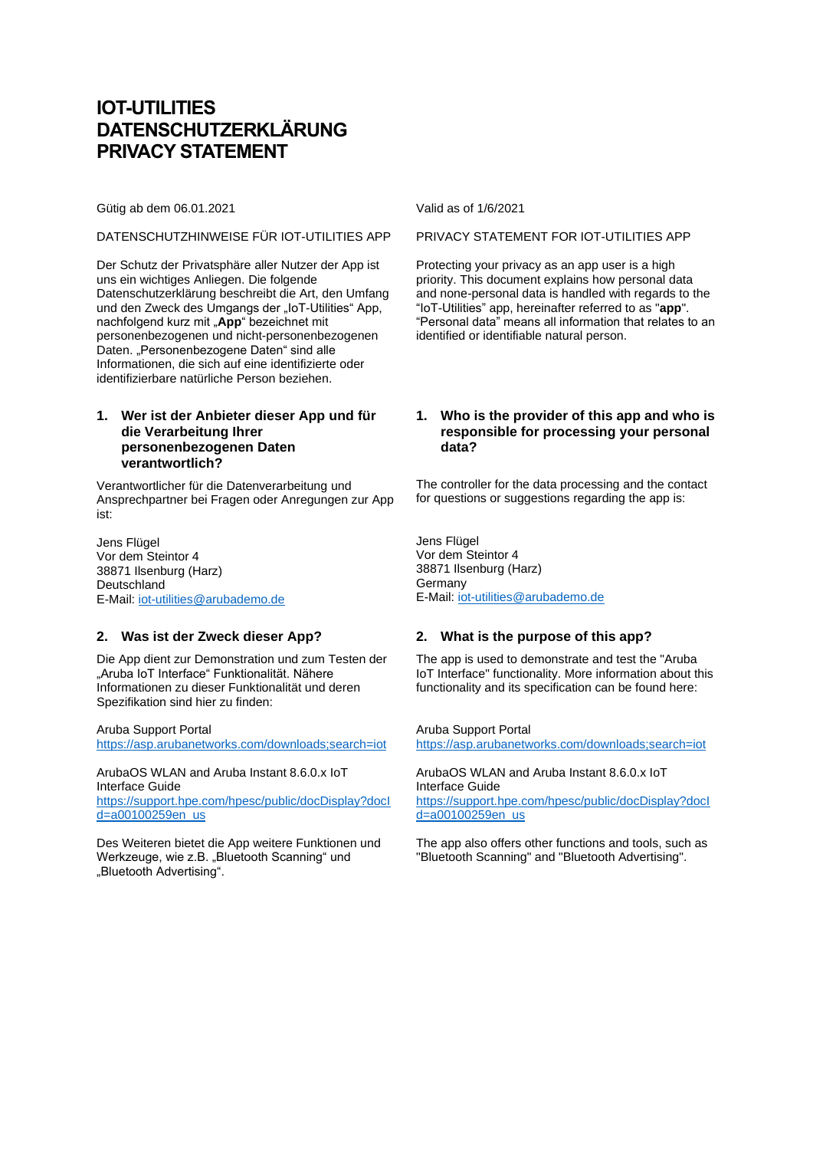# **IOT-UTILITIES DATENSCHUTZERKLÄRUNG PRIVACY STATEMENT**

Gütig ab dem 06.01.2021 Valid as of 1/6/2021

#### DATENSCHUTZHINWEISE FÜR IOT-UTILITIES APP PRIVACY STATEMENT FOR IOT-UTILITIES APP

Der Schutz der Privatsphäre aller Nutzer der App ist uns ein wichtiges Anliegen. Die folgende Datenschutzerklärung beschreibt die Art, den Umfang und den Zweck des Umgangs der "IoT-Utilities" App, nachfolgend kurz mit "App" bezeichnet mit personenbezogenen und nicht-personenbezogenen Daten. "Personenbezogene Daten" sind alle Informationen, die sich auf eine identifizierte oder identifizierbare natürliche Person beziehen.

## **1. Wer ist der Anbieter dieser App und für die Verarbeitung Ihrer personenbezogenen Daten verantwortlich?**

Verantwortlicher für die Datenverarbeitung und Ansprechpartner bei Fragen oder Anregungen zur App ist:

Jens Flügel Vor dem Steintor 4 38871 Ilsenburg (Harz) **Deutschland** E-Mail: [iot-utilities@arubademo.de](mailto:iot-utilities@arubademo.de)

## **2. Was ist der Zweck dieser App?**

Die App dient zur Demonstration und zum Testen der "Aruba IoT Interface" Funktionalität. Nähere Informationen zu dieser Funktionalität und deren Spezifikation sind hier zu finden:

Aruba Support Portal <https://asp.arubanetworks.com/downloads;search=iot>

ArubaOS WLAN and Aruba Instant 8.6.0.x IoT Interface Guide

[https://support.hpe.com/hpesc/public/docDisplay?docI](https://support.hpe.com/hpesc/public/docDisplay?docId=a00100259en_us) [d=a00100259en\\_us](https://support.hpe.com/hpesc/public/docDisplay?docId=a00100259en_us)

Des Weiteren bietet die App weitere Funktionen und Werkzeuge, wie z.B. "Bluetooth Scanning" und "Bluetooth Advertising".

Protecting your privacy as an app user is a high priority. This document explains how personal data and none-personal data is handled with regards to the "IoT-Utilities" app, hereinafter referred to as "**app**". "Personal data" means all information that relates to an identified or identifiable natural person.

## **1. Who is the provider of this app and who is responsible for processing your personal data?**

The controller for the data processing and the contact for questions or suggestions regarding the app is:

Jens Flügel Vor dem Steintor 4 38871 Ilsenburg (Harz) Germany E-Mail: [iot-utilities@arubademo.de](mailto:iot-utilities@arubademo.de)

## **2. What is the purpose of this app?**

The app is used to demonstrate and test the "Aruba IoT Interface" functionality. More information about this functionality and its specification can be found here:

Aruba Support Portal <https://asp.arubanetworks.com/downloads;search=iot>

ArubaOS WLAN and Aruba Instant 8.6.0.x IoT Interface Guide

[https://support.hpe.com/hpesc/public/docDisplay?docI](https://support.hpe.com/hpesc/public/docDisplay?docId=a00100259en_us) [d=a00100259en\\_us](https://support.hpe.com/hpesc/public/docDisplay?docId=a00100259en_us)

The app also offers other functions and tools, such as "Bluetooth Scanning" and "Bluetooth Advertising".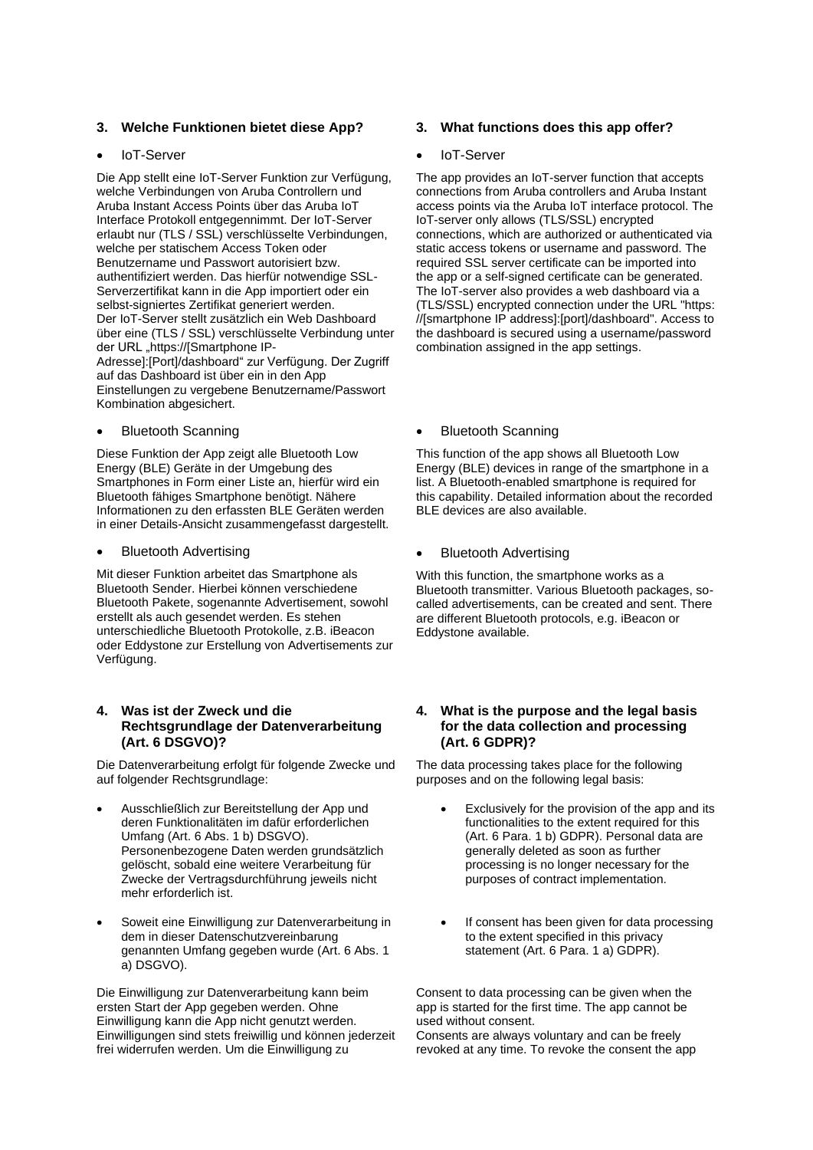## **3. Welche Funktionen bietet diese App?**

#### • IoT-Server

Die App stellt eine IoT-Server Funktion zur Verfügung, welche Verbindungen von Aruba Controllern und Aruba Instant Access Points über das Aruba IoT Interface Protokoll entgegennimmt. Der IoT-Server erlaubt nur (TLS / SSL) verschlüsselte Verbindungen, welche per statischem Access Token oder Benutzername und Passwort autorisiert bzw. authentifiziert werden. Das hierfür notwendige SSL-Serverzertifikat kann in die App importiert oder ein selbst-signiertes Zertifikat generiert werden. Der IoT-Server stellt zusätzlich ein Web Dashboard über eine (TLS / SSL) verschlüsselte Verbindung unter der URL "https://[Smartphone IP-Adresse]:[Port]/dashboard" zur Verfügung. Der Zugriff auf das Dashboard ist über ein in den App Einstellungen zu vergebene Benutzername/Passwort Kombination abgesichert.

• Bluetooth Scanning

Diese Funktion der App zeigt alle Bluetooth Low Energy (BLE) Geräte in der Umgebung des Smartphones in Form einer Liste an, hierfür wird ein Bluetooth fähiges Smartphone benötigt. Nähere Informationen zu den erfassten BLE Geräten werden in einer Details-Ansicht zusammengefasst dargestellt.

• Bluetooth Advertising

Mit dieser Funktion arbeitet das Smartphone als Bluetooth Sender. Hierbei können verschiedene Bluetooth Pakete, sogenannte Advertisement, sowohl erstellt als auch gesendet werden. Es stehen unterschiedliche Bluetooth Protokolle, z.B. iBeacon oder Eddystone zur Erstellung von Advertisements zur Verfügung.

#### **4. Was ist der Zweck und die Rechtsgrundlage der Datenverarbeitung (Art. 6 DSGVO)?**

Die Datenverarbeitung erfolgt für folgende Zwecke und auf folgender Rechtsgrundlage:

- Ausschließlich zur Bereitstellung der App und deren Funktionalitäten im dafür erforderlichen Umfang (Art. 6 Abs. 1 b) DSGVO). Personenbezogene Daten werden grundsätzlich gelöscht, sobald eine weitere Verarbeitung für Zwecke der Vertragsdurchführung jeweils nicht mehr erforderlich ist.
- Soweit eine Einwilligung zur Datenverarbeitung in dem in dieser Datenschutzvereinbarung genannten Umfang gegeben wurde (Art. 6 Abs. 1 a) DSGVO).

Die Einwilligung zur Datenverarbeitung kann beim ersten Start der App gegeben werden. Ohne Einwilligung kann die App nicht genutzt werden. Einwilligungen sind stets freiwillig und können jederzeit frei widerrufen werden. Um die Einwilligung zu

#### **3. What functions does this app offer?**

#### loT-Server

The app provides an IoT-server function that accepts connections from Aruba controllers and Aruba Instant access points via the Aruba IoT interface protocol. The IoT-server only allows (TLS/SSL) encrypted connections, which are authorized or authenticated via static access tokens or username and password. The required SSL server certificate can be imported into the app or a self-signed certificate can be generated. The IoT-server also provides a web dashboard via a (TLS/SSL) encrypted connection under the URL "https: //[smartphone IP address]:[port]/dashboard". Access to the dashboard is secured using a username/password combination assigned in the app settings.

#### • Bluetooth Scanning

This function of the app shows all Bluetooth Low Energy (BLE) devices in range of the smartphone in a list. A Bluetooth-enabled smartphone is required for this capability. Detailed information about the recorded BLE devices are also available.

#### • Bluetooth Advertising

With this function, the smartphone works as a Bluetooth transmitter. Various Bluetooth packages, socalled advertisements, can be created and sent. There are different Bluetooth protocols, e.g. iBeacon or Eddystone available.

#### **4. What is the purpose and the legal basis for the data collection and processing (Art. 6 GDPR)?**

The data processing takes place for the following purposes and on the following legal basis:

- Exclusively for the provision of the app and its functionalities to the extent required for this (Art. 6 Para. 1 b) GDPR). Personal data are generally deleted as soon as further processing is no longer necessary for the purposes of contract implementation.
- If consent has been given for data processing to the extent specified in this privacy statement (Art. 6 Para. 1 a) GDPR).

Consent to data processing can be given when the app is started for the first time. The app cannot be used without consent. Consents are always voluntary and can be freely revoked at any time. To revoke the consent the app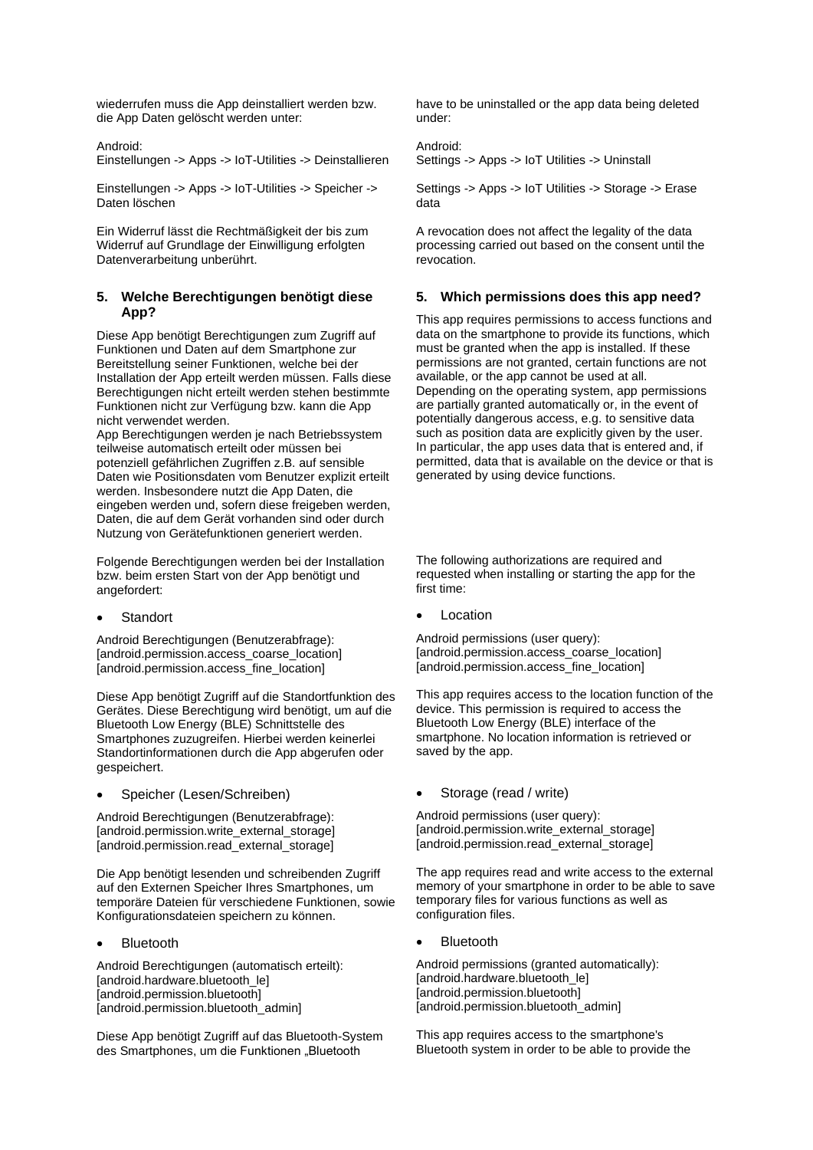wiederrufen muss die App deinstalliert werden bzw. die App Daten gelöscht werden unter:

Android:

Einstellungen -> Apps -> IoT-Utilities -> Deinstallieren

Einstellungen -> Apps -> IoT-Utilities -> Speicher -> Daten löschen

Ein Widerruf lässt die Rechtmäßigkeit der bis zum Widerruf auf Grundlage der Einwilligung erfolgten Datenverarbeitung unberührt.

## **5. Welche Berechtigungen benötigt diese App?**

Diese App benötigt Berechtigungen zum Zugriff auf Funktionen und Daten auf dem Smartphone zur Bereitstellung seiner Funktionen, welche bei der Installation der App erteilt werden müssen. Falls diese Berechtigungen nicht erteilt werden stehen bestimmte Funktionen nicht zur Verfügung bzw. kann die App nicht verwendet werden.

App Berechtigungen werden je nach Betriebssystem teilweise automatisch erteilt oder müssen bei potenziell gefährlichen Zugriffen z.B. auf sensible Daten wie Positionsdaten vom Benutzer explizit erteilt werden. Insbesondere nutzt die App Daten, die eingeben werden und, sofern diese freigeben werden, Daten, die auf dem Gerät vorhanden sind oder durch Nutzung von Gerätefunktionen generiert werden.

Folgende Berechtigungen werden bei der Installation bzw. beim ersten Start von der App benötigt und angefordert:

**Standort** 

Android Berechtigungen (Benutzerabfrage): [android.permission.access\_coarse\_location] [android.permission.access\_fine\_location]

Diese App benötigt Zugriff auf die Standortfunktion des Gerätes. Diese Berechtigung wird benötigt, um auf die Bluetooth Low Energy (BLE) Schnittstelle des Smartphones zuzugreifen. Hierbei werden keinerlei Standortinformationen durch die App abgerufen oder gespeichert.

• Speicher (Lesen/Schreiben)

Android Berechtigungen (Benutzerabfrage): [android.permission.write\_external\_storage] [android.permission.read\_external\_storage]

Die App benötigt lesenden und schreibenden Zugriff auf den Externen Speicher Ihres Smartphones, um temporäre Dateien für verschiedene Funktionen, sowie Konfigurationsdateien speichern zu können.

**Bluetooth** 

Android Berechtigungen (automatisch erteilt): [android.hardware.bluetooth le] [android.permission.bluetooth] [android.permission.bluetooth\_admin]

Diese App benötigt Zugriff auf das Bluetooth-System des Smartphones, um die Funktionen "Bluetooth

have to be uninstalled or the app data being deleted under:

## Android:

Settings -> Apps -> IoT Utilities -> Uninstall

Settings -> Apps -> IoT Utilities -> Storage -> Erase data

A revocation does not affect the legality of the data processing carried out based on the consent until the revocation.

## **5. Which permissions does this app need?**

This app requires permissions to access functions and data on the smartphone to provide its functions, which must be granted when the app is installed. If these permissions are not granted, certain functions are not available, or the app cannot be used at all. Depending on the operating system, app permissions are partially granted automatically or, in the event of potentially dangerous access, e.g. to sensitive data such as position data are explicitly given by the user. In particular, the app uses data that is entered and, if permitted, data that is available on the device or that is generated by using device functions.

The following authorizations are required and requested when installing or starting the app for the first time:

**Location** 

Android permissions (user query): [android.permission.access\_coarse\_location] [android.permission.access\_fine\_location]

This app requires access to the location function of the device. This permission is required to access the Bluetooth Low Energy (BLE) interface of the smartphone. No location information is retrieved or saved by the app.

• Storage (read / write)

Android permissions (user query): [android.permission.write\_external\_storage] [android.permission.read\_external\_storage]

The app requires read and write access to the external memory of your smartphone in order to be able to save temporary files for various functions as well as configuration files.

**Bluetooth** 

Android permissions (granted automatically): [android.hardware.bluetooth\_le] [android.permission.bluetooth] [android.permission.bluetooth\_admin]

This app requires access to the smartphone's Bluetooth system in order to be able to provide the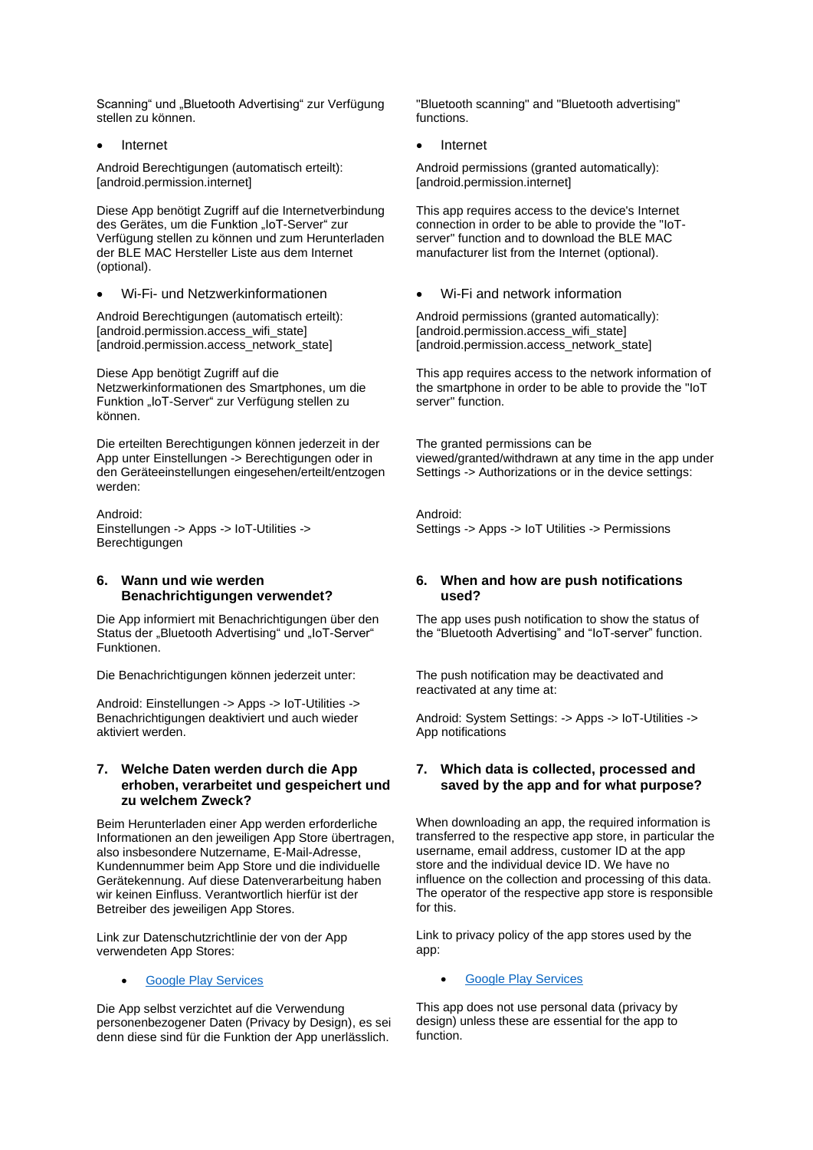Scanning" und "Bluetooth Advertising" zur Verfügung stellen zu können.

**Internet** 

Android Berechtigungen (automatisch erteilt): [android.permission.internet]

Diese App benötigt Zugriff auf die Internetverbindung des Gerätes, um die Funktion "IoT-Server" zur Verfügung stellen zu können und zum Herunterladen der BLE MAC Hersteller Liste aus dem Internet (optional).

• Wi-Fi- und Netzwerkinformationen

Android Berechtigungen (automatisch erteilt): [android.permission.access\_wifi\_state] [android.permission.access\_network\_state]

Diese App benötigt Zugriff auf die Netzwerkinformationen des Smartphones, um die Funktion "IoT-Server" zur Verfügung stellen zu können.

Die erteilten Berechtigungen können jederzeit in der App unter Einstellungen -> Berechtigungen oder in den Geräteeinstellungen eingesehen/erteilt/entzogen werden:

Android: Einstellungen -> Apps -> IoT-Utilities -> Berechtigungen

## **6. Wann und wie werden Benachrichtigungen verwendet?**

Die App informiert mit Benachrichtigungen über den Status der "Bluetooth Advertising" und "IoT-Server" Funktionen.

Die Benachrichtigungen können jederzeit unter:

Android: Einstellungen -> Apps -> IoT-Utilities -> Benachrichtigungen deaktiviert und auch wieder aktiviert werden.

## **7. Welche Daten werden durch die App erhoben, verarbeitet und gespeichert und zu welchem Zweck?**

Beim Herunterladen einer App werden erforderliche Informationen an den jeweiligen App Store übertragen, also insbesondere Nutzername, E-Mail-Adresse, Kundennummer beim App Store und die individuelle Gerätekennung. Auf diese Datenverarbeitung haben wir keinen Einfluss. Verantwortlich hierfür ist der Betreiber des jeweiligen App Stores.

Link zur Datenschutzrichtlinie der von der App verwendeten App Stores:

#### • [Google Play Services](https://www.google.com/policies/privacy/)

Die App selbst verzichtet auf die Verwendung personenbezogener Daten (Privacy by Design), es sei denn diese sind für die Funktion der App unerlässlich.

"Bluetooth scanning" and "Bluetooth advertising" functions.

• Internet

Android permissions (granted automatically): [android.permission.internet]

This app requires access to the device's Internet connection in order to be able to provide the "IoTserver" function and to download the BLE MAC manufacturer list from the Internet (optional).

• Wi-Fi and network information

Android permissions (granted automatically): [android.permission.access\_wifi\_state] [android.permission.access\_network\_state]

This app requires access to the network information of the smartphone in order to be able to provide the "IoT server" function.

The granted permissions can be viewed/granted/withdrawn at any time in the app under Settings -> Authorizations or in the device settings:

Android: Settings -> Apps -> IoT Utilities -> Permissions

## **6. When and how are push notifications used?**

The app uses push notification to show the status of the "Bluetooth Advertising" and "IoT-server" function.

The push notification may be deactivated and reactivated at any time at:

Android: System Settings: -> Apps -> IoT-Utilities -> App notifications

## **7. Which data is collected, processed and saved by the app and for what purpose?**

When downloading an app, the required information is transferred to the respective app store, in particular the username, email address, customer ID at the app store and the individual device ID. We have no influence on the collection and processing of this data. The operator of the respective app store is responsible for this.

Link to privacy policy of the app stores used by the app:

## **[Google Play Services](https://www.google.com/policies/privacy/)**

This app does not use personal data (privacy by design) unless these are essential for the app to function.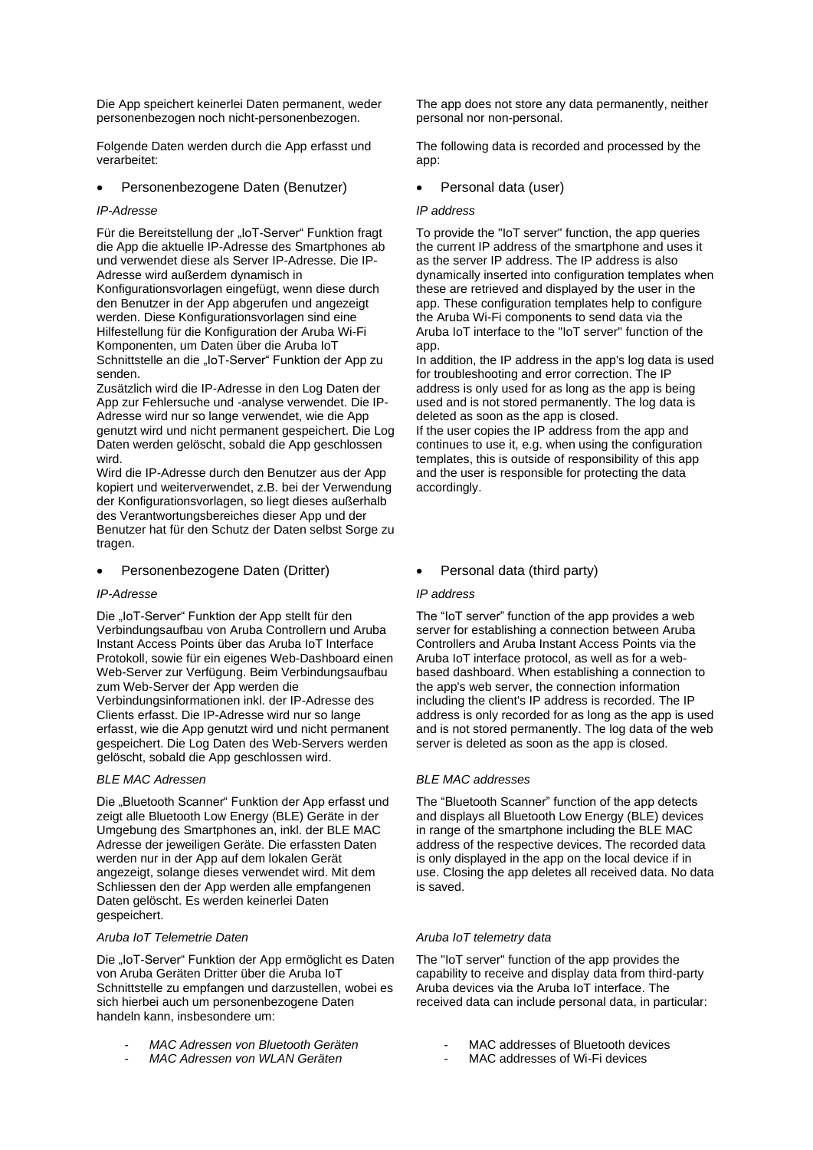Die App speichert keinerlei Daten permanent, weder personenbezogen noch nicht-personenbezogen.

Folgende Daten werden durch die App erfasst und verarbeitet:

## • Personenbezogene Daten (Benutzer)

#### *IP-Adresse*

Für die Bereitstellung der "IoT-Server" Funktion fragt die App die aktuelle IP-Adresse des Smartphones ab und verwendet diese als Server IP-Adresse. Die IP-Adresse wird außerdem dynamisch in Konfigurationsvorlagen eingefügt, wenn diese durch den Benutzer in der App abgerufen und angezeigt werden. Diese Konfigurationsvorlagen sind eine Hilfestellung für die Konfiguration der Aruba Wi-Fi Komponenten, um Daten über die Aruba IoT Schnittstelle an die "IoT-Server" Funktion der App zu senden.

Zusätzlich wird die IP-Adresse in den Log Daten der App zur Fehlersuche und -analyse verwendet. Die IP-Adresse wird nur so lange verwendet, wie die App genutzt wird und nicht permanent gespeichert. Die Log Daten werden gelöscht, sobald die App geschlossen wird.

Wird die IP-Adresse durch den Benutzer aus der App kopiert und weiterverwendet, z.B. bei der Verwendung der Konfigurationsvorlagen, so liegt dieses außerhalb des Verantwortungsbereiches dieser App und der Benutzer hat für den Schutz der Daten selbst Sorge zu tragen.

#### • Personenbezogene Daten (Dritter)

#### *IP-Adresse*

Die "IoT-Server" Funktion der App stellt für den Verbindungsaufbau von Aruba Controllern und Aruba Instant Access Points über das Aruba IoT Interface Protokoll, sowie für ein eigenes Web-Dashboard einen Web-Server zur Verfügung. Beim Verbindungsaufbau zum Web-Server der App werden die Verbindungsinformationen inkl. der IP-Adresse des Clients erfasst. Die IP-Adresse wird nur so lange erfasst, wie die App genutzt wird und nicht permanent gespeichert. Die Log Daten des Web-Servers werden gelöscht, sobald die App geschlossen wird.

#### *BLE MAC Adressen*

Die "Bluetooth Scanner" Funktion der App erfasst und zeigt alle Bluetooth Low Energy (BLE) Geräte in der Umgebung des Smartphones an, inkl. der BLE MAC Adresse der jeweiligen Geräte. Die erfassten Daten werden nur in der App auf dem lokalen Gerät angezeigt, solange dieses verwendet wird. Mit dem Schliessen den der App werden alle empfangenen Daten gelöscht. Es werden keinerlei Daten gespeichert.

#### *Aruba IoT Telemetrie Daten*

Die "IoT-Server" Funktion der App ermöglicht es Daten von Aruba Geräten Dritter über die Aruba IoT Schnittstelle zu empfangen und darzustellen, wobei es sich hierbei auch um personenbezogene Daten handeln kann, insbesondere um:

- *MAC Adressen von Bluetooth Geräten*
- *MAC Adressen von WLAN Geräten*

The app does not store any data permanently, neither personal nor non-personal.

The following data is recorded and processed by the app:

• Personal data (user)

#### *IP address*

To provide the "IoT server" function, the app queries the current IP address of the smartphone and uses it as the server IP address. The IP address is also dynamically inserted into configuration templates when these are retrieved and displayed by the user in the app. These configuration templates help to configure the Aruba Wi-Fi components to send data via the Aruba IoT interface to the "IoT server" function of the app.

In addition, the IP address in the app's log data is used for troubleshooting and error correction. The IP address is only used for as long as the app is being used and is not stored permanently. The log data is deleted as soon as the app is closed. If the user copies the IP address from the app and continues to use it, e.g. when using the configuration templates, this is outside of responsibility of this app and the user is responsible for protecting the data accordingly.

#### • Personal data (third party)

#### *IP address*

The "IoT server" function of the app provides a web server for establishing a connection between Aruba Controllers and Aruba Instant Access Points via the Aruba IoT interface protocol, as well as for a webbased dashboard. When establishing a connection to the app's web server, the connection information including the client's IP address is recorded. The IP address is only recorded for as long as the app is used and is not stored permanently. The log data of the web server is deleted as soon as the app is closed.

#### *BLE MAC addresses*

The "Bluetooth Scanner" function of the app detects and displays all Bluetooth Low Energy (BLE) devices in range of the smartphone including the BLE MAC address of the respective devices. The recorded data is only displayed in the app on the local device if in use. Closing the app deletes all received data. No data is saved.

#### *Aruba IoT telemetry data*

The "IoT server" function of the app provides the capability to receive and display data from third-party Aruba devices via the Aruba IoT interface. The received data can include personal data, in particular:

- MAC addresses of Bluetooth devices
- MAC addresses of Wi-Fi devices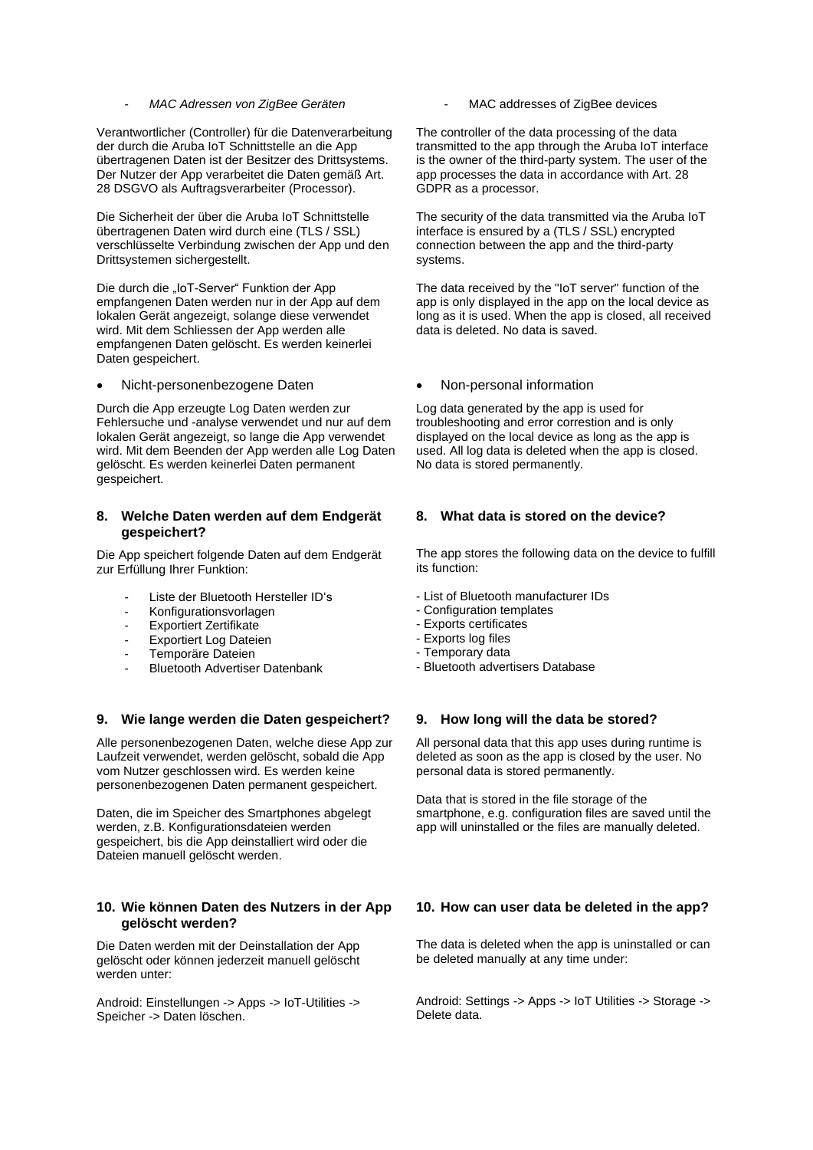#### - *MAC Adressen von ZigBee Geräten*

Verantwortlicher (Controller) für die Datenverarbeitung der durch die Aruba IoT Schnittstelle an die App übertragenen Daten ist der Besitzer des Drittsystems. Der Nutzer der App verarbeitet die Daten gemäß Art. 28 DSGVO als Auftragsverarbeiter (Processor).

Die Sicherheit der über die Aruba IoT Schnittstelle übertragenen Daten wird durch eine (TLS / SSL) verschlüsselte Verbindung zwischen der App und den Drittsystemen sichergestellt.

Die durch die "IoT-Server" Funktion der App empfangenen Daten werden nur in der App auf dem lokalen Gerät angezeigt, solange diese verwendet wird. Mit dem Schliessen der App werden alle empfangenen Daten gelöscht. Es werden keinerlei Daten gespeichert.

• Nicht-personenbezogene Daten

Durch die App erzeugte Log Daten werden zur Fehlersuche und -analyse verwendet und nur auf dem lokalen Gerät angezeigt, so lange die App verwendet wird. Mit dem Beenden der App werden alle Log Daten gelöscht. Es werden keinerlei Daten permanent gespeichert.

#### **8. Welche Daten werden auf dem Endgerät gespeichert?**

Die App speichert folgende Daten auf dem Endgerät zur Erfüllung Ihrer Funktion:

- Liste der Bluetooth Hersteller ID's
- Konfigurationsvorlagen
- Exportiert Zertifikate
- **Exportiert Log Dateien**
- Temporäre Dateien
- Bluetooth Advertiser Datenbank

#### **9. Wie lange werden die Daten gespeichert?**

Alle personenbezogenen Daten, welche diese App zur Laufzeit verwendet, werden gelöscht, sobald die App vom Nutzer geschlossen wird. Es werden keine personenbezogenen Daten permanent gespeichert.

Daten, die im Speicher des Smartphones abgelegt werden, z.B. Konfigurationsdateien werden gespeichert, bis die App deinstalliert wird oder die Dateien manuell gelöscht werden.

#### **10. Wie können Daten des Nutzers in der App gelöscht werden?**

Die Daten werden mit der Deinstallation der App gelöscht oder können jederzeit manuell gelöscht werden unter:

Android: Einstellungen -> Apps -> IoT-Utilities -> Speicher -> Daten löschen.

MAC addresses of ZigBee devices

The controller of the data processing of the data transmitted to the app through the Aruba IoT interface is the owner of the third-party system. The user of the app processes the data in accordance with Art. 28 GDPR as a processor.

The security of the data transmitted via the Aruba IoT interface is ensured by a (TLS / SSL) encrypted connection between the app and the third-party systems.

The data received by the "IoT server" function of the app is only displayed in the app on the local device as long as it is used. When the app is closed, all received data is deleted. No data is saved.

#### • Non-personal information

Log data generated by the app is used for troubleshooting and error correstion and is only displayed on the local device as long as the app is used. All log data is deleted when the app is closed. No data is stored permanently.

### **8. What data is stored on the device?**

The app stores the following data on the device to fulfill its function:

- List of Bluetooth manufacturer IDs
- Configuration templates
- Exports certificates
- Exports log files
- Temporary data
- Bluetooth advertisers Database

## **9. How long will the data be stored?**

All personal data that this app uses during runtime is deleted as soon as the app is closed by the user. No personal data is stored permanently.

Data that is stored in the file storage of the smartphone, e.g. configuration files are saved until the app will uninstalled or the files are manually deleted.

## **10. How can user data be deleted in the app?**

The data is deleted when the app is uninstalled or can be deleted manually at any time under:

Android: Settings -> Apps -> IoT Utilities -> Storage -> Delete data.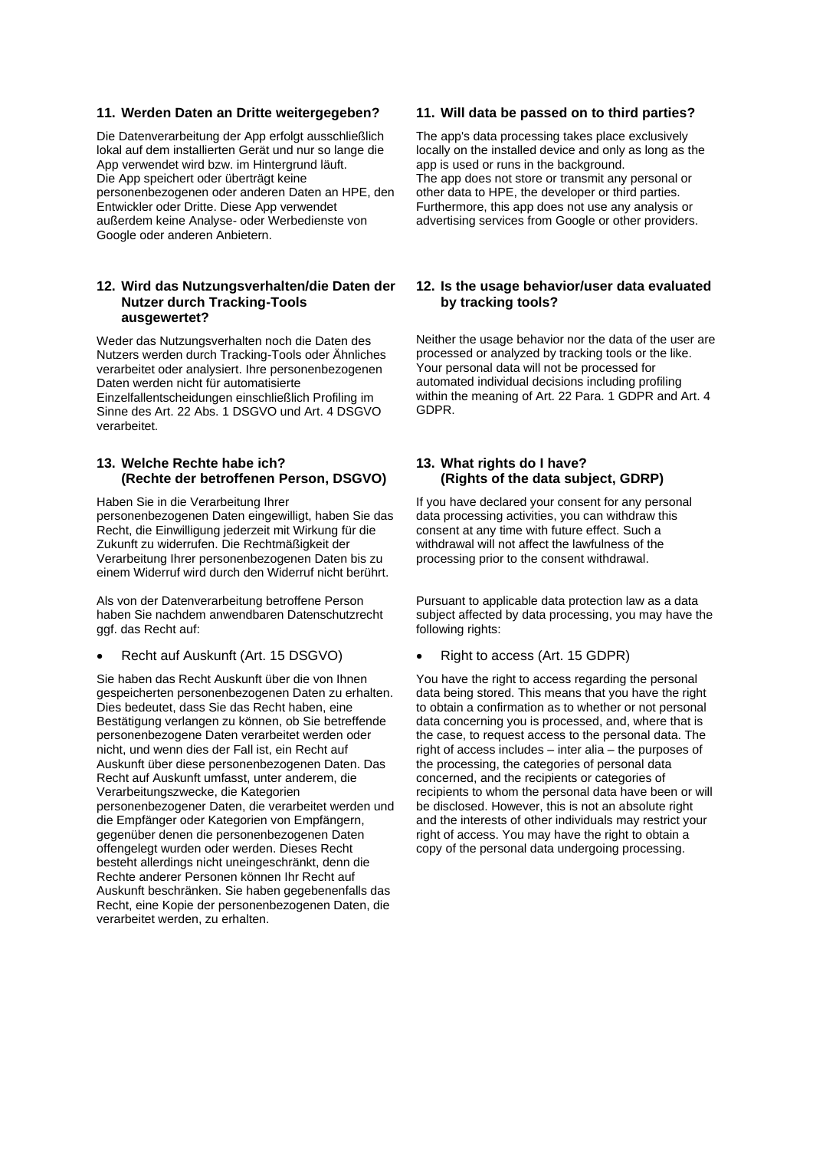#### **11. Werden Daten an Dritte weitergegeben?**

Die Datenverarbeitung der App erfolgt ausschließlich lokal auf dem installierten Gerät und nur so lange die App verwendet wird bzw. im Hintergrund läuft. Die App speichert oder überträgt keine personenbezogenen oder anderen Daten an HPE, den Entwickler oder Dritte. Diese App verwendet außerdem keine Analyse- oder Werbedienste von Google oder anderen Anbietern.

## **12. Wird das Nutzungsverhalten/die Daten der Nutzer durch Tracking-Tools ausgewertet?**

Weder das Nutzungsverhalten noch die Daten des Nutzers werden durch Tracking-Tools oder Ähnliches verarbeitet oder analysiert. Ihre personenbezogenen Daten werden nicht für automatisierte Einzelfallentscheidungen einschließlich Profiling im Sinne des Art. 22 Abs. 1 DSGVO und Art. 4 DSGVO verarbeitet.

## **13. Welche Rechte habe ich? (Rechte der betroffenen Person, DSGVO)**

Haben Sie in die Verarbeitung Ihrer personenbezogenen Daten eingewilligt, haben Sie das Recht, die Einwilligung jederzeit mit Wirkung für die Zukunft zu widerrufen. Die Rechtmäßigkeit der Verarbeitung Ihrer personenbezogenen Daten bis zu einem Widerruf wird durch den Widerruf nicht berührt.

Als von der Datenverarbeitung betroffene Person haben Sie nachdem anwendbaren Datenschutzrecht ggf. das Recht auf:

## • Recht auf Auskunft (Art. 15 DSGVO)

Sie haben das Recht Auskunft über die von Ihnen gespeicherten personenbezogenen Daten zu erhalten. Dies bedeutet, dass Sie das Recht haben, eine Bestätigung verlangen zu können, ob Sie betreffende personenbezogene Daten verarbeitet werden oder nicht, und wenn dies der Fall ist, ein Recht auf Auskunft über diese personenbezogenen Daten. Das Recht auf Auskunft umfasst, unter anderem, die Verarbeitungszwecke, die Kategorien personenbezogener Daten, die verarbeitet werden und die Empfänger oder Kategorien von Empfängern, gegenüber denen die personenbezogenen Daten offengelegt wurden oder werden. Dieses Recht besteht allerdings nicht uneingeschränkt, denn die Rechte anderer Personen können Ihr Recht auf Auskunft beschränken. Sie haben gegebenenfalls das Recht, eine Kopie der personenbezogenen Daten, die verarbeitet werden, zu erhalten.

#### **11. Will data be passed on to third parties?**

The app's data processing takes place exclusively locally on the installed device and only as long as the app is used or runs in the background. The app does not store or transmit any personal or other data to HPE, the developer or third parties. Furthermore, this app does not use any analysis or advertising services from Google or other providers.

## **12. Is the usage behavior/user data evaluated by tracking tools?**

Neither the usage behavior nor the data of the user are processed or analyzed by tracking tools or the like. Your personal data will not be processed for automated individual decisions including profiling within the meaning of Art. 22 Para. 1 GDPR and Art. 4 GDPR.

## **13. What rights do I have? (Rights of the data subject, GDRP)**

If you have declared your consent for any personal data processing activities, you can withdraw this consent at any time with future effect. Such a withdrawal will not affect the lawfulness of the processing prior to the consent withdrawal.

Pursuant to applicable data protection law as a data subject affected by data processing, you may have the following rights:

#### • Right to access (Art. 15 GDPR)

You have the right to access regarding the personal data being stored. This means that you have the right to obtain a confirmation as to whether or not personal data concerning you is processed, and, where that is the case, to request access to the personal data. The right of access includes – inter alia – the purposes of the processing, the categories of personal data concerned, and the recipients or categories of recipients to whom the personal data have been or will be disclosed. However, this is not an absolute right and the interests of other individuals may restrict your right of access. You may have the right to obtain a copy of the personal data undergoing processing.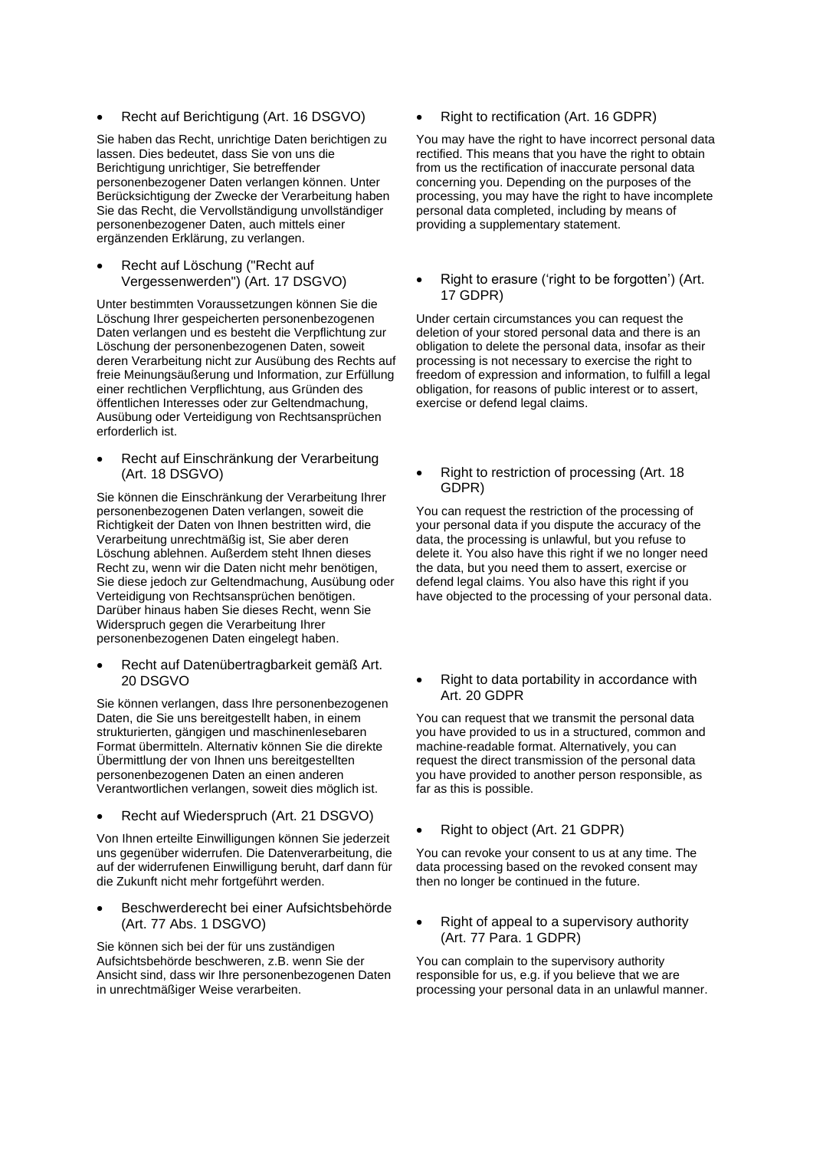• Recht auf Berichtigung (Art. 16 DSGVO)

Sie haben das Recht, unrichtige Daten berichtigen zu lassen. Dies bedeutet, dass Sie von uns die Berichtigung unrichtiger, Sie betreffender personenbezogener Daten verlangen können. Unter Berücksichtigung der Zwecke der Verarbeitung haben Sie das Recht, die Vervollständigung unvollständiger personenbezogener Daten, auch mittels einer ergänzenden Erklärung, zu verlangen.

• Recht auf Löschung ("Recht auf Vergessenwerden") (Art. 17 DSGVO)

Unter bestimmten Voraussetzungen können Sie die Löschung Ihrer gespeicherten personenbezogenen Daten verlangen und es besteht die Verpflichtung zur Löschung der personenbezogenen Daten, soweit deren Verarbeitung nicht zur Ausübung des Rechts auf freie Meinungsäußerung und Information, zur Erfüllung einer rechtlichen Verpflichtung, aus Gründen des öffentlichen Interesses oder zur Geltendmachung, Ausübung oder Verteidigung von Rechtsansprüchen erforderlich ist.

• Recht auf Einschränkung der Verarbeitung (Art. 18 DSGVO)

Sie können die Einschränkung der Verarbeitung Ihrer personenbezogenen Daten verlangen, soweit die Richtigkeit der Daten von Ihnen bestritten wird, die Verarbeitung unrechtmäßig ist, Sie aber deren Löschung ablehnen. Außerdem steht Ihnen dieses Recht zu, wenn wir die Daten nicht mehr benötigen, Sie diese jedoch zur Geltendmachung, Ausübung oder Verteidigung von Rechtsansprüchen benötigen. Darüber hinaus haben Sie dieses Recht, wenn Sie Widerspruch gegen die Verarbeitung Ihrer personenbezogenen Daten eingelegt haben.

• Recht auf Datenübertragbarkeit gemäß Art. 20 DSGVO

Sie können verlangen, dass Ihre personenbezogenen Daten, die Sie uns bereitgestellt haben, in einem strukturierten, gängigen und maschinenlesebaren Format übermitteln. Alternativ können Sie die direkte Übermittlung der von Ihnen uns bereitgestellten personenbezogenen Daten an einen anderen Verantwortlichen verlangen, soweit dies möglich ist.

• Recht auf Wiederspruch (Art. 21 DSGVO)

Von Ihnen erteilte Einwilligungen können Sie jederzeit uns gegenüber widerrufen. Die Datenverarbeitung, die auf der widerrufenen Einwilligung beruht, darf dann für die Zukunft nicht mehr fortgeführt werden.

• Beschwerderecht bei einer Aufsichtsbehörde (Art. 77 Abs. 1 DSGVO)

Sie können sich bei der für uns zuständigen Aufsichtsbehörde beschweren, z.B. wenn Sie der Ansicht sind, dass wir Ihre personenbezogenen Daten in unrechtmäßiger Weise verarbeiten.

• Right to rectification (Art. 16 GDPR)

You may have the right to have incorrect personal data rectified. This means that you have the right to obtain from us the rectification of inaccurate personal data concerning you. Depending on the purposes of the processing, you may have the right to have incomplete personal data completed, including by means of providing a supplementary statement.

• Right to erasure ('right to be forgotten') (Art. 17 GDPR)

Under certain circumstances you can request the deletion of your stored personal data and there is an obligation to delete the personal data, insofar as their processing is not necessary to exercise the right to freedom of expression and information, to fulfill a legal obligation, for reasons of public interest or to assert, exercise or defend legal claims.

• Right to restriction of processing (Art. 18 GDPR)

You can request the restriction of the processing of your personal data if you dispute the accuracy of the data, the processing is unlawful, but you refuse to delete it. You also have this right if we no longer need the data, but you need them to assert, exercise or defend legal claims. You also have this right if you have objected to the processing of your personal data.

• Right to data portability in accordance with Art. 20 GDPR

You can request that we transmit the personal data you have provided to us in a structured, common and machine-readable format. Alternatively, you can request the direct transmission of the personal data you have provided to another person responsible, as far as this is possible.

• Right to object (Art. 21 GDPR)

You can revoke your consent to us at any time. The data processing based on the revoked consent may then no longer be continued in the future.

• Right of appeal to a supervisory authority (Art. 77 Para. 1 GDPR)

You can complain to the supervisory authority responsible for us, e.g. if you believe that we are processing your personal data in an unlawful manner.